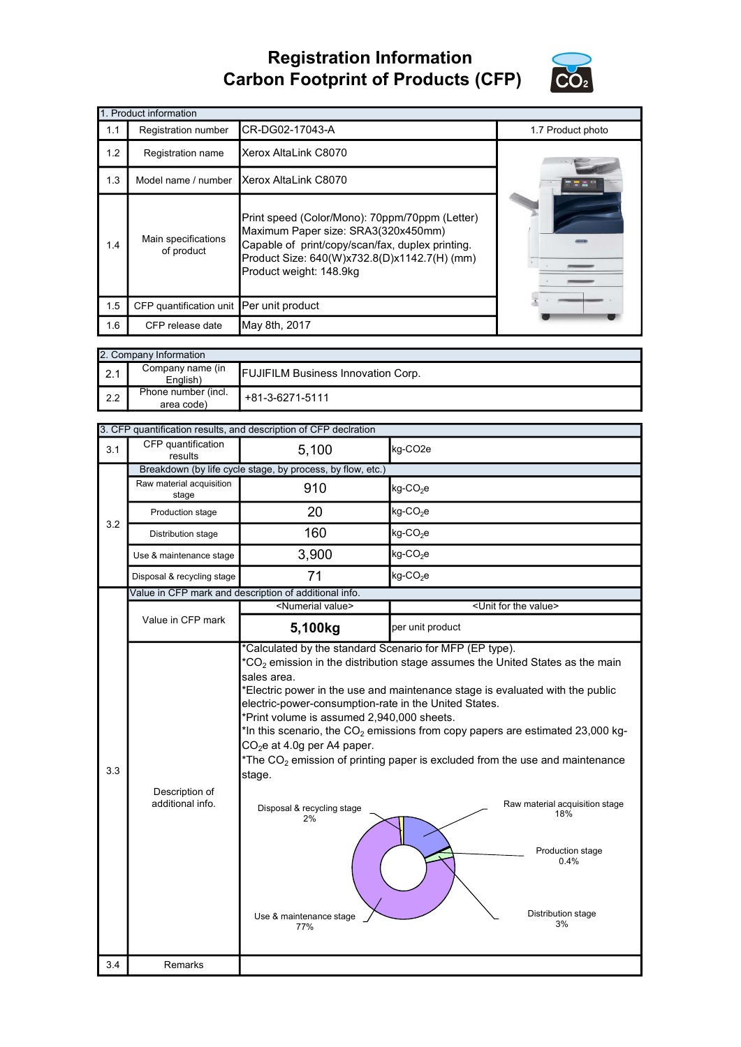## Registration Information Carbon Footprint of Products (CFP)



|     | 1. Product information                   |                                                                                                                                                                                                                      |                   |
|-----|------------------------------------------|----------------------------------------------------------------------------------------------------------------------------------------------------------------------------------------------------------------------|-------------------|
| 1.1 | Registration number                      | CR-DG02-17043-A                                                                                                                                                                                                      | 1.7 Product photo |
| 1.2 | Registration name                        | Xerox AltaLink C8070                                                                                                                                                                                                 |                   |
| 1.3 | Model name / number                      | Xerox AltaLink C8070                                                                                                                                                                                                 |                   |
| 1.4 | Main specifications<br>of product        | Print speed (Color/Mono): 70ppm/70ppm (Letter)<br>Maximum Paper size: SRA3(320x450mm)<br>Capable of print/copy/scan/fax, duplex printing.<br>Product Size: 640(W)x732.8(D)x1142.7(H) (mm)<br>Product weight: 148.9kg |                   |
| 1.5 | CFP quantification unit Per unit product |                                                                                                                                                                                                                      |                   |
| 1.6 | CFP release date                         | May 8th, 2017                                                                                                                                                                                                        |                   |

| 2. Company Information |                                   |                                           |  |
|------------------------|-----------------------------------|-------------------------------------------|--|
| $\vert$ 2.1            | Company name (in<br>English)      | <b>FUJIFILM Business Innovation Corp.</b> |  |
| $\mathsf{I}$ 2.2       | Phone number (incl.<br>area code) | +81-3-6271-5111                           |  |

|     |                                    | 3. CFP quantification results, and description of CFP declration                                                                                                                                                                              |                                                                                                                                                                                                                                                                                                                                                                                                                                           |
|-----|------------------------------------|-----------------------------------------------------------------------------------------------------------------------------------------------------------------------------------------------------------------------------------------------|-------------------------------------------------------------------------------------------------------------------------------------------------------------------------------------------------------------------------------------------------------------------------------------------------------------------------------------------------------------------------------------------------------------------------------------------|
| 3.1 | CFP quantification<br>results      | 5,100                                                                                                                                                                                                                                         | kg-CO <sub>2e</sub>                                                                                                                                                                                                                                                                                                                                                                                                                       |
|     |                                    | Breakdown (by life cycle stage, by process, by flow, etc.)                                                                                                                                                                                    |                                                                                                                                                                                                                                                                                                                                                                                                                                           |
|     | Raw material acquisition<br>stage  | 910                                                                                                                                                                                                                                           | kg-CO <sub>2</sub> e                                                                                                                                                                                                                                                                                                                                                                                                                      |
| 3.2 | Production stage                   | 20                                                                                                                                                                                                                                            | kg-CO <sub>2</sub> e                                                                                                                                                                                                                                                                                                                                                                                                                      |
|     | Distribution stage                 | 160                                                                                                                                                                                                                                           | kg-CO <sub>2</sub> e                                                                                                                                                                                                                                                                                                                                                                                                                      |
|     | Use & maintenance stage            | 3,900                                                                                                                                                                                                                                         | kg-CO <sub>2</sub> e                                                                                                                                                                                                                                                                                                                                                                                                                      |
|     | Disposal & recycling stage         | 71                                                                                                                                                                                                                                            | kg-CO <sub>2</sub> e                                                                                                                                                                                                                                                                                                                                                                                                                      |
|     |                                    | Value in CFP mark and description of additional info.                                                                                                                                                                                         |                                                                                                                                                                                                                                                                                                                                                                                                                                           |
|     |                                    | <numerial value=""></numerial>                                                                                                                                                                                                                | <unit for="" the="" value=""></unit>                                                                                                                                                                                                                                                                                                                                                                                                      |
|     | Value in CFP mark                  | 5,100kg                                                                                                                                                                                                                                       | per unit product                                                                                                                                                                                                                                                                                                                                                                                                                          |
| 3.3 | Description of<br>additional info. | sales area.<br>electric-power-consumption-rate in the United States.<br>*Print volume is assumed 2,940,000 sheets.<br>CO <sub>2</sub> e at 4.0g per A4 paper.<br>stage.<br>Disposal & recycling stage<br>2%<br>Use & maintenance stage<br>77% | $^*CO_2$ emission in the distribution stage assumes the United States as the main<br>*Electric power in the use and maintenance stage is evaluated with the public<br>*In this scenario, the $CO2$ emissions from copy papers are estimated 23,000 kg-<br>*The $CO2$ emission of printing paper is excluded from the use and maintenance<br>Raw material acquisition stage<br>18%<br>Production stage<br>0.4%<br>Distribution stage<br>3% |
| 3.4 | Remarks                            |                                                                                                                                                                                                                                               |                                                                                                                                                                                                                                                                                                                                                                                                                                           |